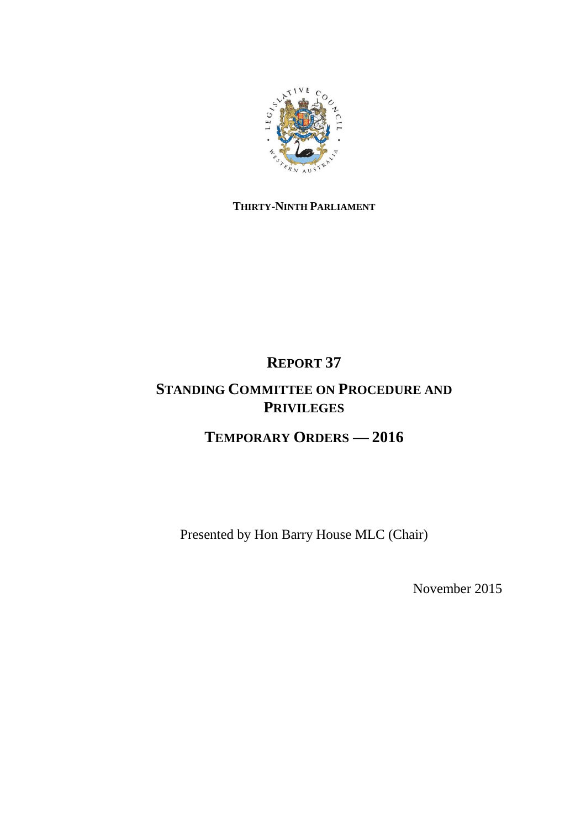

## **THIRTY-NINTH PARLIAMENT**

# **REPORT 37**

## **STANDING COMMITTEE ON PROCEDURE AND PRIVILEGES**

# **TEMPORARY ORDERS — 2016**

Presented by Hon Barry House MLC (Chair)

November 2015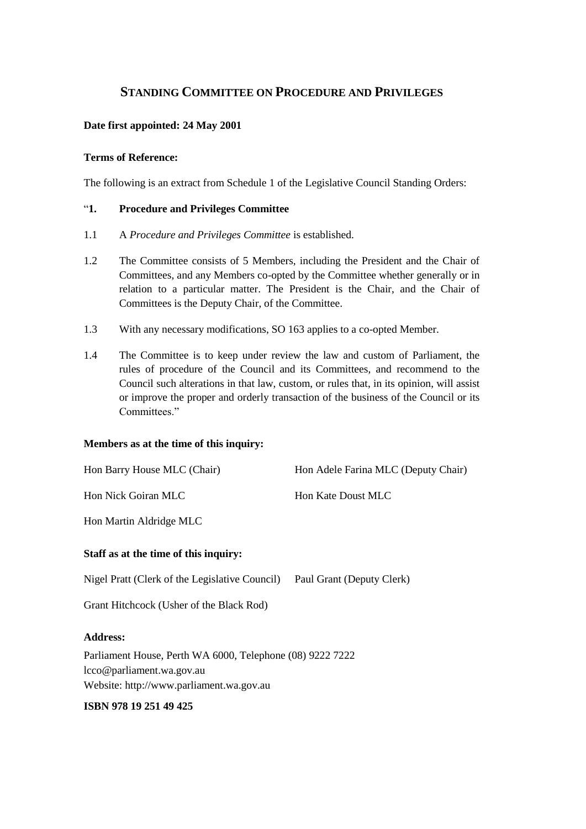## **STANDING COMMITTEE ON PROCEDURE AND PRIVILEGES**

## **Date first appointed: 24 May 2001**

## **Terms of Reference:**

The following is an extract from Schedule 1 of the Legislative Council Standing Orders:

## ―**1. Procedure and Privileges Committee**

- 1.1 A *Procedure and Privileges Committee* is established.
- 1.2 The Committee consists of 5 Members, including the President and the Chair of Committees, and any Members co-opted by the Committee whether generally or in relation to a particular matter. The President is the Chair, and the Chair of Committees is the Deputy Chair, of the Committee.
- 1.3 With any necessary modifications, SO 163 applies to a co-opted Member.
- 1.4 The Committee is to keep under review the law and custom of Parliament, the rules of procedure of the Council and its Committees, and recommend to the Council such alterations in that law, custom, or rules that, in its opinion, will assist or improve the proper and orderly transaction of the business of the Council or its Committees."

## **Members as at the time of this inquiry:**

| Hon Barry House MLC (Chair)                    | Hon Adele Farina MLC (Deputy Chair) |
|------------------------------------------------|-------------------------------------|
| Hon Nick Goiran MLC                            | Hon Kate Doust MLC                  |
| Hon Martin Aldridge MLC                        |                                     |
| Staff as at the time of this inquiry:          |                                     |
| Nigel Pratt (Clerk of the Legislative Council) | Paul Grant (Deputy Clerk)           |
| Grant Hitchcock (Usher of the Black Rod)       |                                     |
| <b>Address:</b>                                |                                     |

Parliament House, Perth WA 6000, Telephone (08) 9222 7222 lcco@parliament.wa.gov.au Website: http://www.parliament.wa.gov.au

## **ISBN 978 19 251 49 425**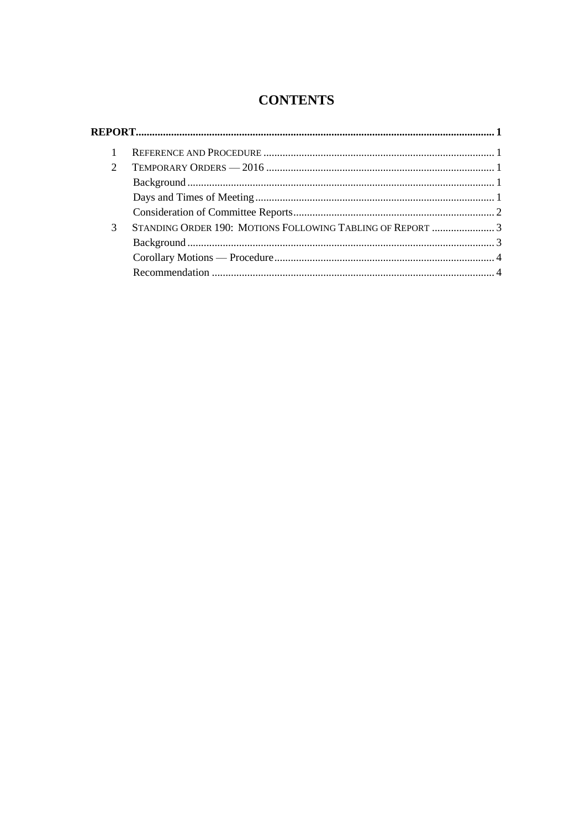## **CONTENTS**

| $\mathcal{D}_{\mathcal{L}}$ |                                                            |  |
|-----------------------------|------------------------------------------------------------|--|
|                             |                                                            |  |
|                             |                                                            |  |
|                             |                                                            |  |
| 3                           | STANDING ORDER 190: MOTIONS FOLLOWING TABLING OF REPORT  3 |  |
|                             |                                                            |  |
|                             |                                                            |  |
|                             |                                                            |  |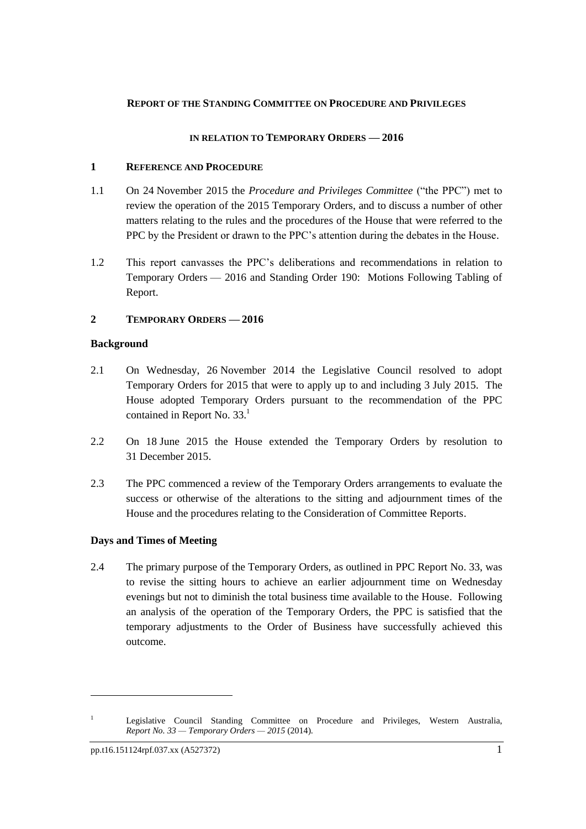## <span id="page-4-0"></span>**REPORT OF THE STANDING COMMITTEE ON PROCEDURE AND PRIVILEGES**

## **IN RELATION TO TEMPORARY ORDERS — 2016**

## <span id="page-4-1"></span>**1 REFERENCE AND PROCEDURE**

- 1.1 On 24 November 2015 the *Procedure and Privileges Committee* ("the PPC") met to review the operation of the 2015 Temporary Orders, and to discuss a number of other matters relating to the rules and the procedures of the House that were referred to the PPC by the President or drawn to the PPC's attention during the debates in the House.
- 1.2 This report canvasses the PPC's deliberations and recommendations in relation to Temporary Orders — 2016 and Standing Order 190: Motions Following Tabling of Report.

## <span id="page-4-2"></span>**2 TEMPORARY ORDERS — 2016**

## <span id="page-4-3"></span>**Background**

- 2.1 On Wednesday, 26 November 2014 the Legislative Council resolved to adopt Temporary Orders for 2015 that were to apply up to and including 3 July 2015. The House adopted Temporary Orders pursuant to the recommendation of the PPC contained in Report No. 33.<sup>1</sup>
- 2.2 On 18 June 2015 the House extended the Temporary Orders by resolution to 31 December 2015.
- 2.3 The PPC commenced a review of the Temporary Orders arrangements to evaluate the success or otherwise of the alterations to the sitting and adjournment times of the House and the procedures relating to the Consideration of Committee Reports.

## <span id="page-4-4"></span>**Days and Times of Meeting**

2.4 The primary purpose of the Temporary Orders, as outlined in PPC Report No. 33, was to revise the sitting hours to achieve an earlier adjournment time on Wednesday evenings but not to diminish the total business time available to the House. Following an analysis of the operation of the Temporary Orders, the PPC is satisfied that the temporary adjustments to the Order of Business have successfully achieved this outcome.

 $\ddot{\phantom{a}}$ 

<sup>&</sup>lt;sup>1</sup> Legislative Council Standing Committee on Procedure and Privileges, Western Australia, *Report No. 33 — Temporary Orders — 2015* (2014).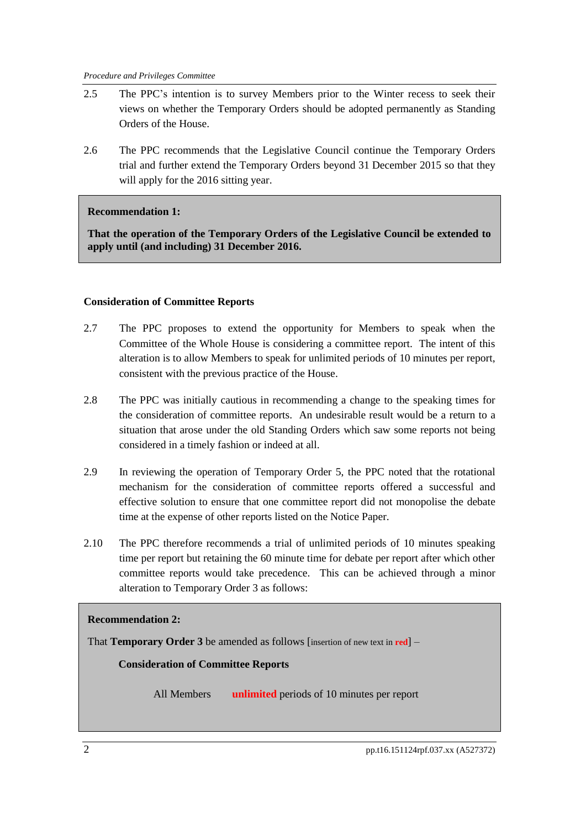- 2.5 The PPC's intention is to survey Members prior to the Winter recess to seek their views on whether the Temporary Orders should be adopted permanently as Standing Orders of the House.
- 2.6 The PPC recommends that the Legislative Council continue the Temporary Orders trial and further extend the Temporary Orders beyond 31 December 2015 so that they will apply for the 2016 sitting year.

## **Recommendation 1:**

**That the operation of the Temporary Orders of the Legislative Council be extended to apply until (and including) 31 December 2016.** 

## <span id="page-5-0"></span>**Consideration of Committee Reports**

- 2.7 The PPC proposes to extend the opportunity for Members to speak when the Committee of the Whole House is considering a committee report. The intent of this alteration is to allow Members to speak for unlimited periods of 10 minutes per report, consistent with the previous practice of the House.
- 2.8 The PPC was initially cautious in recommending a change to the speaking times for the consideration of committee reports. An undesirable result would be a return to a situation that arose under the old Standing Orders which saw some reports not being considered in a timely fashion or indeed at all.
- 2.9 In reviewing the operation of Temporary Order 5, the PPC noted that the rotational mechanism for the consideration of committee reports offered a successful and effective solution to ensure that one committee report did not monopolise the debate time at the expense of other reports listed on the Notice Paper.
- 2.10 The PPC therefore recommends a trial of unlimited periods of 10 minutes speaking time per report but retaining the 60 minute time for debate per report after which other committee reports would take precedence. This can be achieved through a minor alteration to Temporary Order 3 as follows:

## **Recommendation 2:**

That **Temporary Order 3** be amended as follows [insertion of new text in **red**] –

**Consideration of Committee Reports**

All Members **unlimited** periods of 10 minutes per report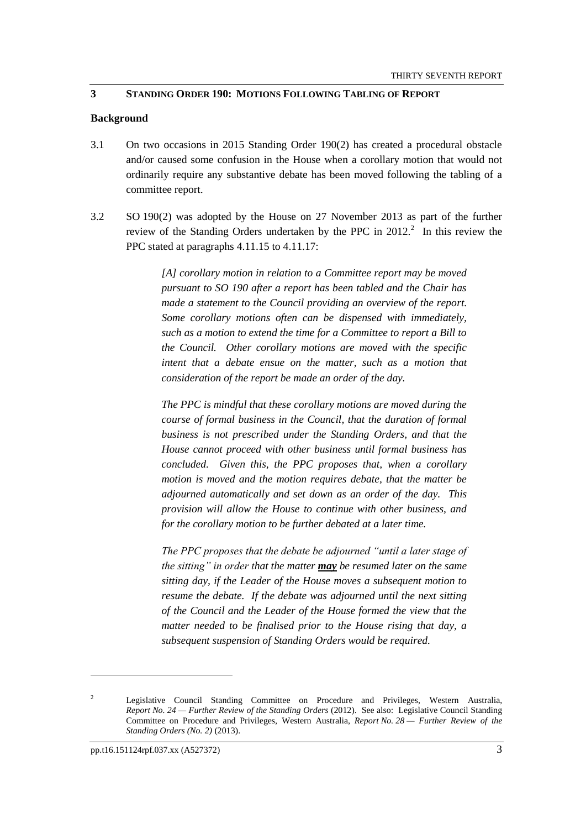## <span id="page-6-0"></span>**3 STANDING ORDER 190: MOTIONS FOLLOWING TABLING OF REPORT**

## <span id="page-6-1"></span>**Background**

- 3.1 On two occasions in 2015 Standing Order 190(2) has created a procedural obstacle and/or caused some confusion in the House when a corollary motion that would not ordinarily require any substantive debate has been moved following the tabling of a committee report.
- 3.2 SO 190(2) was adopted by the House on 27 November 2013 as part of the further review of the Standing Orders undertaken by the PPC in  $2012$ .<sup>2</sup> In this review the PPC stated at paragraphs 4.11.15 to 4.11.17:

*[A] corollary motion in relation to a Committee report may be moved pursuant to SO 190 after a report has been tabled and the Chair has made a statement to the Council providing an overview of the report. Some corollary motions often can be dispensed with immediately, such as a motion to extend the time for a Committee to report a Bill to the Council. Other corollary motions are moved with the specific intent that a debate ensue on the matter, such as a motion that consideration of the report be made an order of the day.*

*The PPC is mindful that these corollary motions are moved during the course of formal business in the Council, that the duration of formal business is not prescribed under the Standing Orders, and that the House cannot proceed with other business until formal business has concluded. Given this, the PPC proposes that, when a corollary motion is moved and the motion requires debate, that the matter be adjourned automatically and set down as an order of the day. This provision will allow the House to continue with other business, and for the corollary motion to be further debated at a later time.*

*The PPC proposes that the debate be adjourned "until a later stage of the sitting" in order that the matter may be resumed later on the same sitting day, if the Leader of the House moves a subsequent motion to resume the debate. If the debate was adjourned until the next sitting of the Council and the Leader of the House formed the view that the matter needed to be finalised prior to the House rising that day, a subsequent suspension of Standing Orders would be required.*

 $\overline{a}$ 

<sup>&</sup>lt;sup>2</sup> Legislative Council Standing Committee on Procedure and Privileges, Western Australia, *Report No. 24 — Further Review of the Standing Orders* (2012). See also: Legislative Council Standing Committee on Procedure and Privileges, Western Australia, *Report No. 28 — Further Review of the Standing Orders (No. 2)* (2013).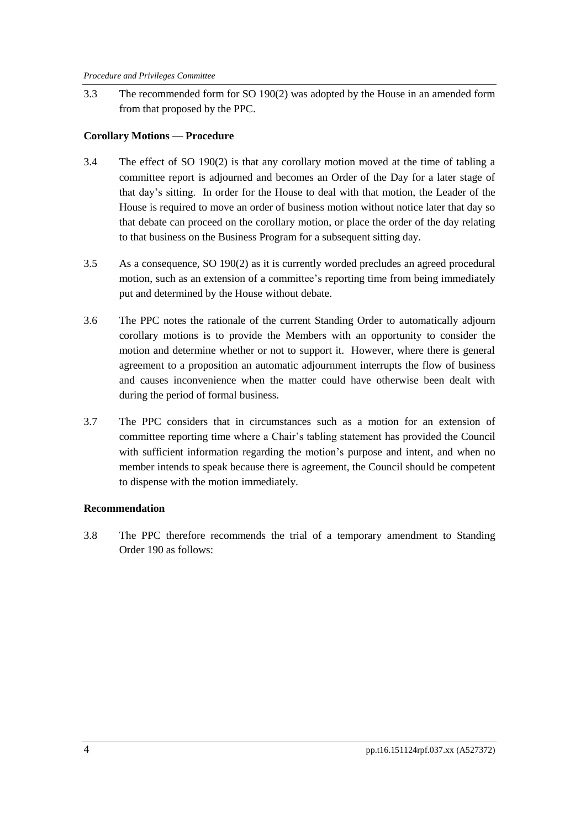3.3 The recommended form for SO 190(2) was adopted by the House in an amended form from that proposed by the PPC.

## <span id="page-7-0"></span>**Corollary Motions — Procedure**

- 3.4 The effect of SO 190(2) is that any corollary motion moved at the time of tabling a committee report is adjourned and becomes an Order of the Day for a later stage of that day's sitting. In order for the House to deal with that motion, the Leader of the House is required to move an order of business motion without notice later that day so that debate can proceed on the corollary motion, or place the order of the day relating to that business on the Business Program for a subsequent sitting day.
- 3.5 As a consequence, SO 190(2) as it is currently worded precludes an agreed procedural motion, such as an extension of a committee's reporting time from being immediately put and determined by the House without debate.
- 3.6 The PPC notes the rationale of the current Standing Order to automatically adjourn corollary motions is to provide the Members with an opportunity to consider the motion and determine whether or not to support it. However, where there is general agreement to a proposition an automatic adjournment interrupts the flow of business and causes inconvenience when the matter could have otherwise been dealt with during the period of formal business.
- 3.7 The PPC considers that in circumstances such as a motion for an extension of committee reporting time where a Chair's tabling statement has provided the Council with sufficient information regarding the motion's purpose and intent, and when no member intends to speak because there is agreement, the Council should be competent to dispense with the motion immediately.

## <span id="page-7-1"></span>**Recommendation**

3.8 The PPC therefore recommends the trial of a temporary amendment to Standing Order 190 as follows: